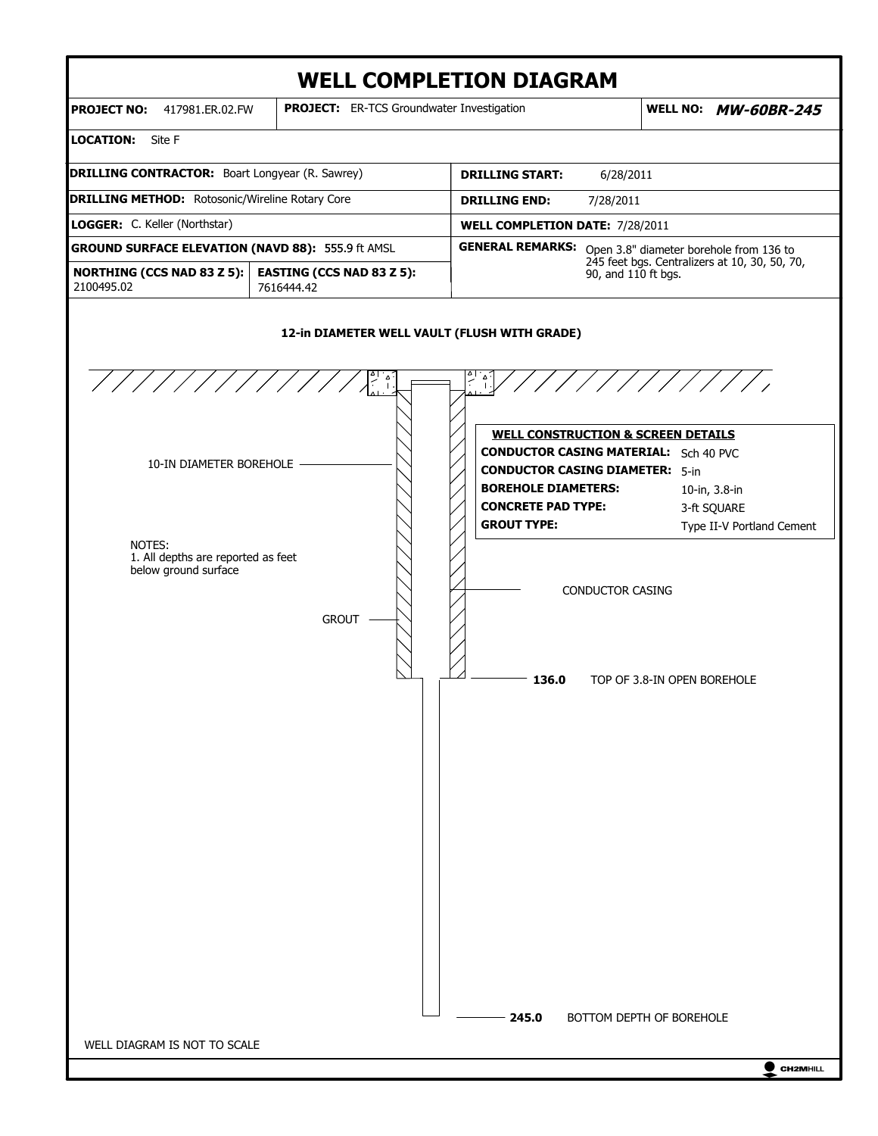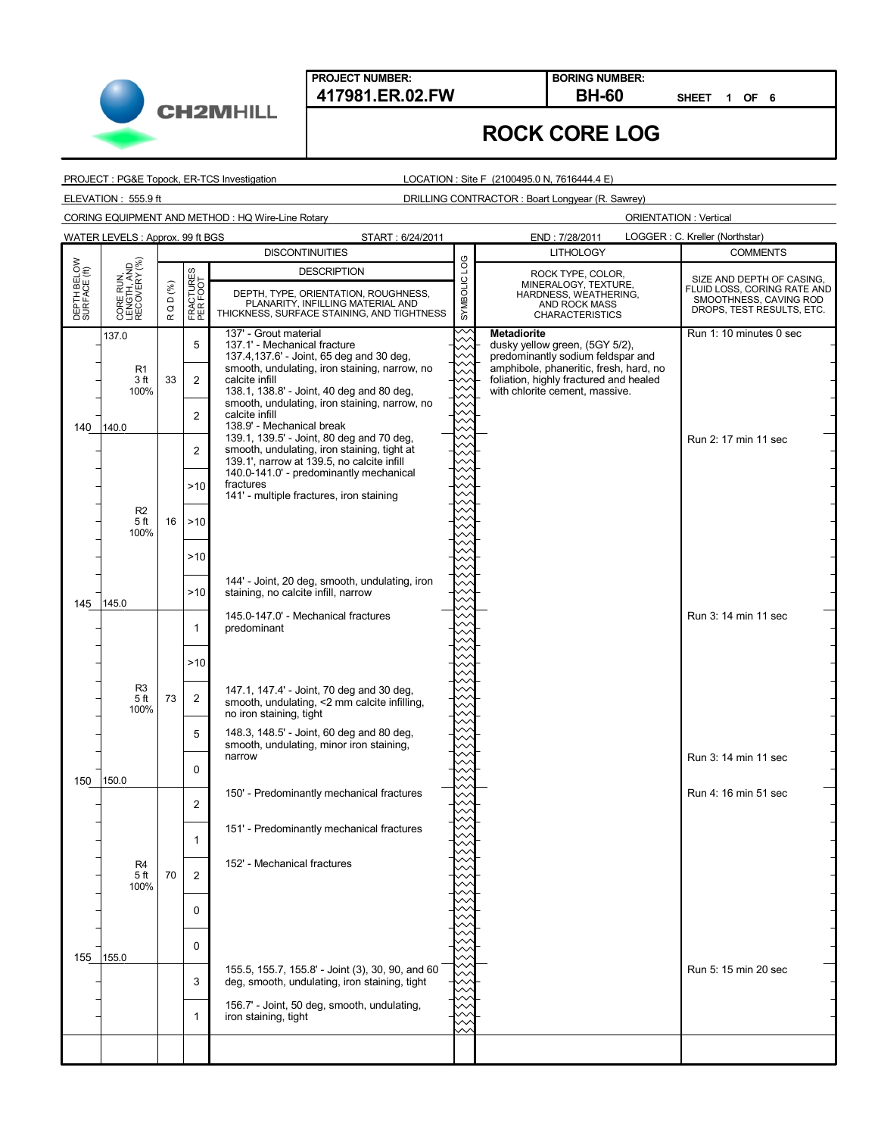**PROJECT NUMBER: 417981.ER.02.FW BH-60**

**BORING NUMBER:**

**SHEET 1 OF 6**

# **ROCK CORE LOG**

PROJECT : PG&E Topock, ER-TCS Investigation

LOCATION : Site F (2100495.0 N, 7616444.4 E)

ELEVATION : 555.9 ft DRILLING CONTRACTOR : Boart Longyear (R. Sawrey)

CORING EQUIPMENT AND METHOD : HQ Wire-Line Rotary

**CH2MHILL** 

|                             | WATER LEVELS: Approx. 99 ft BGS<br>LOGGER: C. Kreller (Northstar)<br>START: 6/24/2011<br>END: 7/28/2011 |                     |                       |                                                                                                   |                    |                                                                          |                                                       |                           |
|-----------------------------|---------------------------------------------------------------------------------------------------------|---------------------|-----------------------|---------------------------------------------------------------------------------------------------|--------------------|--------------------------------------------------------------------------|-------------------------------------------------------|---------------------------|
|                             |                                                                                                         |                     |                       | <b>DISCONTINUITIES</b>                                                                            |                    | <b>LITHOLOGY</b>                                                         | <b>COMMENTS</b>                                       |                           |
|                             |                                                                                                         |                     |                       |                                                                                                   | <b>DESCRIPTION</b> |                                                                          | ROCK TYPE, COLOR,                                     | SIZE AND DEPTH OF CASING, |
|                             |                                                                                                         | D (%)               |                       | DEPTH, TYPE, ORIENTATION, ROUGHNESS,                                                              |                    | MINERALOGY, TEXTURE,<br>HARDNESS, WEATHERING,                            | FLUID LOSS, CORING RATE AND<br>SMOOTHNESS, CAVING ROD |                           |
| DEPTH BELOW<br>SURFACE (ft) | CORE RUN,<br>LENGTH, AND<br>RECOVERY (%)                                                                | $\circ$<br>$\simeq$ | FRACTURES<br>PER FOOT | PLANARITY, INFILLING MATERIAL AND<br>THICKNESS, SURFACE STAINING, AND TIGHTNESS                   | SYMBOLIC LOG       | AND ROCK MASS<br><b>CHARACTERISTICS</b>                                  | DROPS, TEST RESULTS, ETC.                             |                           |
|                             | 137.0                                                                                                   |                     |                       | 137' - Grout material                                                                             |                    | <b>Metadiorite</b>                                                       | Run 1: 10 minutes 0 sec                               |                           |
|                             |                                                                                                         |                     | 5                     | 137.1' - Mechanical fracture<br>137.4, 137.6' - Joint, 65 deg and 30 deg,                         |                    | dusky yellow green, (5GY 5/2),<br>predominantly sodium feldspar and      |                                                       |                           |
|                             | R <sub>1</sub>                                                                                          |                     |                       | smooth, undulating, iron staining, narrow, no                                                     |                    | amphibole, phaneritic, fresh, hard, no                                   |                                                       |                           |
|                             | 3 ft<br>100%                                                                                            | 33                  | $\overline{2}$        | calcite infill<br>138.1, 138.8' - Joint, 40 deg and 80 deg,                                       |                    | foliation, highly fractured and healed<br>with chlorite cement, massive. |                                                       |                           |
|                             |                                                                                                         |                     |                       | smooth, undulating, iron staining, narrow, no                                                     |                    |                                                                          |                                                       |                           |
| 140                         | 140.0                                                                                                   |                     | $\overline{2}$        | calcite infill<br>138.9' - Mechanical break                                                       |                    |                                                                          |                                                       |                           |
|                             |                                                                                                         |                     |                       | 139.1, 139.5' - Joint, 80 deg and 70 deg,<br>smooth, undulating, iron staining, tight at          |                    |                                                                          | Run 2: 17 min 11 sec                                  |                           |
|                             |                                                                                                         |                     | 2                     | 139.1', narrow at 139.5, no calcite infill                                                        |                    |                                                                          |                                                       |                           |
|                             |                                                                                                         |                     | >10                   | 140.0-141.0' - predominantly mechanical<br>fractures                                              |                    |                                                                          |                                                       |                           |
|                             |                                                                                                         |                     |                       | 141' - multiple fractures, iron staining                                                          |                    |                                                                          |                                                       |                           |
|                             | R <sub>2</sub><br>5 <sub>ft</sub>                                                                       | 16                  | >10                   |                                                                                                   |                    |                                                                          |                                                       |                           |
|                             | 100%                                                                                                    |                     |                       |                                                                                                   |                    |                                                                          |                                                       |                           |
|                             |                                                                                                         |                     | >10                   |                                                                                                   |                    |                                                                          |                                                       |                           |
|                             |                                                                                                         |                     |                       |                                                                                                   |                    |                                                                          |                                                       |                           |
|                             |                                                                                                         |                     | >10                   | 144' - Joint, 20 deg, smooth, undulating, iron<br>staining, no calcite infill, narrow             |                    |                                                                          |                                                       |                           |
| 145                         | 145.0<br>R <sub>3</sub>                                                                                 |                     |                       |                                                                                                   |                    |                                                                          |                                                       |                           |
|                             |                                                                                                         |                     | $\mathbf 1$           | 145.0-147.0' - Mechanical fractures<br>predominant                                                |                    |                                                                          | Run 3: 14 min 11 sec                                  |                           |
|                             |                                                                                                         |                     |                       |                                                                                                   |                    |                                                                          |                                                       |                           |
|                             |                                                                                                         |                     | >10                   |                                                                                                   |                    |                                                                          |                                                       |                           |
|                             |                                                                                                         |                     |                       |                                                                                                   |                    |                                                                          |                                                       |                           |
|                             | 5 ft                                                                                                    | 73                  | $\overline{2}$        | 147.1, 147.4' - Joint, 70 deg and 30 deg,<br>smooth, undulating, <2 mm calcite infilling,         |                    |                                                                          |                                                       |                           |
|                             | 100%                                                                                                    |                     |                       | no iron staining, tight                                                                           |                    |                                                                          |                                                       |                           |
|                             |                                                                                                         |                     | 5                     | 148.3, 148.5' - Joint, 60 deg and 80 deg,<br>smooth, undulating, minor iron staining,             |                    |                                                                          |                                                       |                           |
|                             |                                                                                                         |                     |                       | narrow                                                                                            |                    |                                                                          | Run 3: 14 min 11 sec                                  |                           |
| 150                         | 150.0                                                                                                   |                     | 0                     |                                                                                                   |                    |                                                                          |                                                       |                           |
|                             |                                                                                                         |                     |                       | 150' - Predominantly mechanical fractures                                                         |                    |                                                                          | Run 4: 16 min 51 sec                                  |                           |
|                             |                                                                                                         |                     | 2                     |                                                                                                   |                    |                                                                          |                                                       |                           |
|                             |                                                                                                         |                     |                       | 151' - Predominantly mechanical fractures                                                         |                    |                                                                          |                                                       |                           |
|                             |                                                                                                         |                     | 1                     |                                                                                                   |                    |                                                                          |                                                       |                           |
|                             | R <sub>4</sub><br>5 ft                                                                                  | 70                  | 2                     | 152' - Mechanical fractures                                                                       |                    |                                                                          |                                                       |                           |
|                             | 100%                                                                                                    |                     |                       |                                                                                                   |                    |                                                                          |                                                       |                           |
|                             |                                                                                                         |                     | 0                     |                                                                                                   |                    |                                                                          |                                                       |                           |
|                             |                                                                                                         |                     |                       |                                                                                                   |                    |                                                                          |                                                       |                           |
|                             |                                                                                                         |                     | $\mathbf 0$           |                                                                                                   |                    |                                                                          |                                                       |                           |
| 155                         | 155.0                                                                                                   |                     |                       |                                                                                                   |                    |                                                                          |                                                       |                           |
|                             |                                                                                                         |                     | 3                     | 155.5, 155.7, 155.8' - Joint (3), 30, 90, and 60<br>deg, smooth, undulating, iron staining, tight |                    |                                                                          | Run 5: 15 min 20 sec                                  |                           |
|                             |                                                                                                         |                     |                       | 156.7' - Joint, 50 deg, smooth, undulating,                                                       |                    |                                                                          |                                                       |                           |
|                             |                                                                                                         |                     | $\mathbf{1}$          | iron staining, tight                                                                              |                    |                                                                          |                                                       |                           |
|                             |                                                                                                         |                     |                       |                                                                                                   |                    |                                                                          |                                                       |                           |
|                             |                                                                                                         |                     |                       |                                                                                                   |                    |                                                                          |                                                       |                           |
|                             |                                                                                                         |                     |                       |                                                                                                   |                    |                                                                          |                                                       |                           |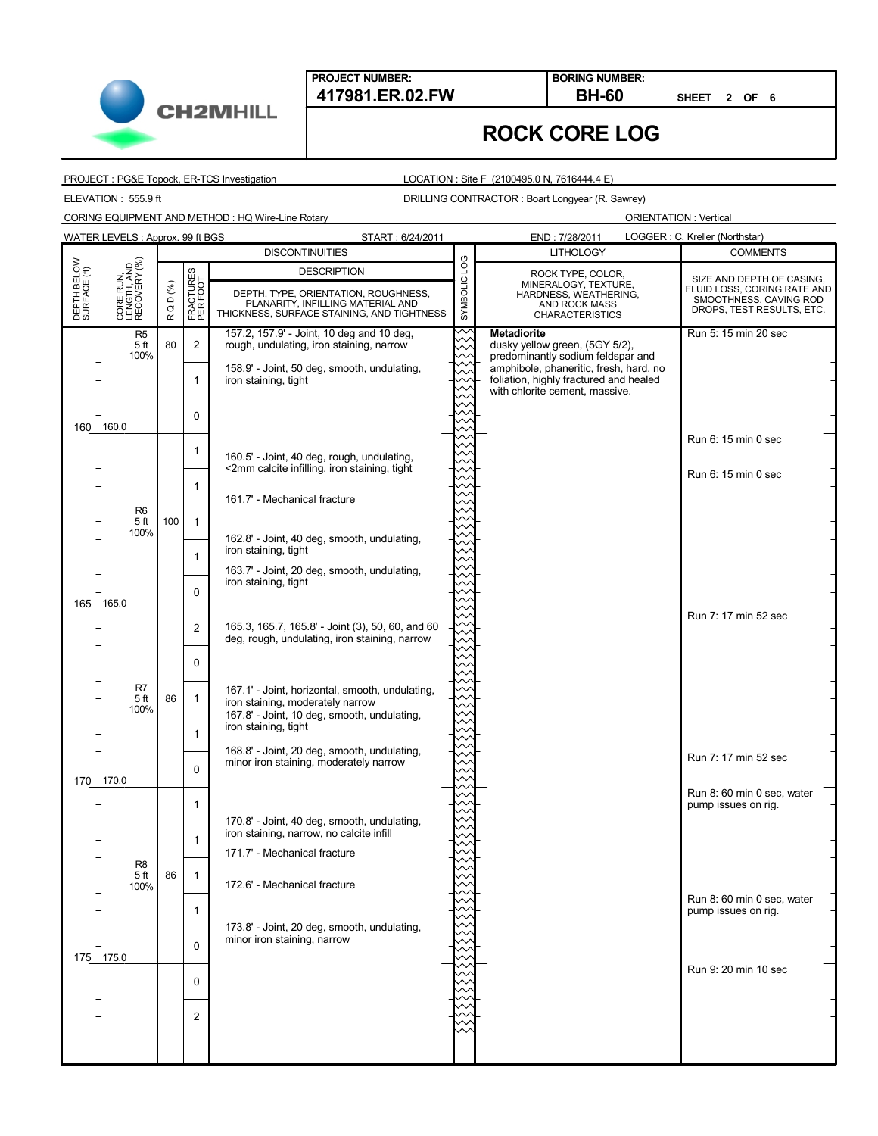

**SHEET 2 OF 6**

# **ROCK CORE LOG**

PROJECT : PG&E Topock, ER-TCS Investigation

LOCATION : Site F (2100495.0 N, 7616444.4 E)

ELEVATION : 555.9 ft DRILLING CONTRACTOR : Boart Longyear (R. Sawrey)

CORING EQUIPMENT AND METHOD : HQ Wire-Line Rotary

**CH2MHILL** 

|                             | WATER LEVELS: Approx. 99 ft BGS<br>LOGGER : C. Kreller (Northstar)<br>START: 6/24/2011<br>END: 7/28/2011 |                                                     |                       |                                                                                                                                    |                    |                                                                                                                    |                                                                                    |                           |
|-----------------------------|----------------------------------------------------------------------------------------------------------|-----------------------------------------------------|-----------------------|------------------------------------------------------------------------------------------------------------------------------------|--------------------|--------------------------------------------------------------------------------------------------------------------|------------------------------------------------------------------------------------|---------------------------|
|                             |                                                                                                          |                                                     |                       | <b>DISCONTINUITIES</b>                                                                                                             |                    | <b>LITHOLOGY</b>                                                                                                   | <b>COMMENTS</b>                                                                    |                           |
| DEPTH BELOW<br>SURFACE (ft) |                                                                                                          |                                                     |                       |                                                                                                                                    | <b>DESCRIPTION</b> |                                                                                                                    | ROCK TYPE, COLOR,                                                                  | SIZE AND DEPTH OF CASING, |
|                             | CORE RUN,<br>LENGTH, AND<br>RECOVERY (%)                                                                 | $\textsf{Q} \mathrel{\mathsf{D}} (\%)$<br>$\propto$ | FRACTURES<br>PER FOOT | DEPTH, TYPE, ORIENTATION, ROUGHNESS,<br>PLANARITY, INFILLING MATERIAL AND<br>THICKNESS, SURFACE STAINING, AND TIGHTNESS            | SYMBOLIC LOG       | MINERALOGY, TEXTURE,<br>HARDNESS, WEATHERING,<br>AND ROCK MASS<br><b>CHARACTERISTICS</b>                           | FLUID LOSS, CORING RATE AND<br>SMOOTHNESS, CAVING ROD<br>DROPS, TEST RESULTS, ETC. |                           |
|                             | R <sub>5</sub><br>5 <sub>ft</sub><br>100%                                                                | 80                                                  | $\overline{2}$        | 157.2, 157.9' - Joint, 10 deg and 10 deg,<br>rough, undulating, iron staining, narrow                                              |                    | <b>Metadiorite</b><br>dusky yellow green, (5GY 5/2),<br>predominantly sodium feldspar and                          | Run 5: 15 min 20 sec                                                               |                           |
|                             |                                                                                                          |                                                     | 1                     | 158.9' - Joint, 50 deg, smooth, undulating,<br>iron staining, tight                                                                |                    | amphibole, phaneritic, fresh, hard, no<br>foliation, highly fractured and healed<br>with chlorite cement, massive. |                                                                                    |                           |
| 160                         | 160.0                                                                                                    |                                                     | $\mathbf 0$           |                                                                                                                                    |                    |                                                                                                                    |                                                                                    |                           |
|                             |                                                                                                          |                                                     | 1                     | 160.5' - Joint, 40 deg, rough, undulating,<br><2mm calcite infilling, iron staining, tight                                         |                    |                                                                                                                    | Run 6: 15 min 0 sec                                                                |                           |
|                             |                                                                                                          |                                                     | $\mathbf 1$           | 161.7' - Mechanical fracture                                                                                                       |                    |                                                                                                                    | Run 6: 15 min 0 sec                                                                |                           |
|                             | R <sub>6</sub><br>5 <sub>ft</sub><br>100%                                                                | 100                                                 | $\mathbf{1}$          | 162.8' - Joint, 40 deg, smooth, undulating,                                                                                        |                    |                                                                                                                    |                                                                                    |                           |
|                             |                                                                                                          |                                                     | 1                     | iron staining, tight<br>163.7' - Joint, 20 deg, smooth, undulating,                                                                |                    |                                                                                                                    |                                                                                    |                           |
| 165                         | 165.0                                                                                                    |                                                     | $\Omega$              | iron staining, tight                                                                                                               |                    |                                                                                                                    |                                                                                    |                           |
|                             |                                                                                                          |                                                     | 2                     | 165.3, 165.7, 165.8' - Joint (3), 50, 60, and 60<br>deg, rough, undulating, iron staining, narrow                                  |                    |                                                                                                                    | Run 7: 17 min 52 sec                                                               |                           |
|                             |                                                                                                          |                                                     | 0                     |                                                                                                                                    |                    |                                                                                                                    |                                                                                    |                           |
|                             | R7<br>5 ft<br>100%                                                                                       | 86                                                  | $\mathbf{1}$          | 167.1' - Joint, horizontal, smooth, undulating,<br>iron staining, moderately narrow<br>167.8' - Joint, 10 deg, smooth, undulating, |                    |                                                                                                                    |                                                                                    |                           |
|                             |                                                                                                          |                                                     | 1                     | iron staining, tight<br>168.8' - Joint, 20 deg, smooth, undulating,                                                                |                    |                                                                                                                    |                                                                                    |                           |
| 170                         | 170.0                                                                                                    |                                                     | $\Omega$              | minor iron staining, moderately narrow                                                                                             |                    |                                                                                                                    | Run 7: 17 min 52 sec                                                               |                           |
|                             |                                                                                                          |                                                     | 1                     | 170.8' - Joint, 40 deg, smooth, undulating,                                                                                        |                    |                                                                                                                    | Run 8: 60 min 0 sec, water<br>pump issues on rig.                                  |                           |
|                             |                                                                                                          |                                                     | $\mathbf{1}$          | iron staining, narrow, no calcite infill<br>171.7' - Mechanical fracture                                                           |                    |                                                                                                                    |                                                                                    |                           |
|                             | R <sub>8</sub><br>5 ft<br>100%                                                                           | 86                                                  | $\mathbf{1}$          | 172.6' - Mechanical fracture                                                                                                       |                    |                                                                                                                    |                                                                                    |                           |
|                             |                                                                                                          |                                                     | 1                     |                                                                                                                                    |                    |                                                                                                                    | Run 8: 60 min 0 sec, water<br>pump issues on rig.                                  |                           |
| 175                         | 175.0                                                                                                    |                                                     | $\Omega$              | 173.8' - Joint, 20 deg, smooth, undulating,<br>minor iron staining, narrow                                                         |                    |                                                                                                                    |                                                                                    |                           |
|                             |                                                                                                          |                                                     | $\mathbf 0$           |                                                                                                                                    |                    |                                                                                                                    | Run 9: 20 min 10 sec                                                               |                           |
|                             |                                                                                                          |                                                     | $\overline{c}$        |                                                                                                                                    |                    |                                                                                                                    |                                                                                    |                           |
|                             |                                                                                                          |                                                     |                       |                                                                                                                                    |                    |                                                                                                                    |                                                                                    |                           |
|                             |                                                                                                          |                                                     |                       |                                                                                                                                    |                    |                                                                                                                    |                                                                                    |                           |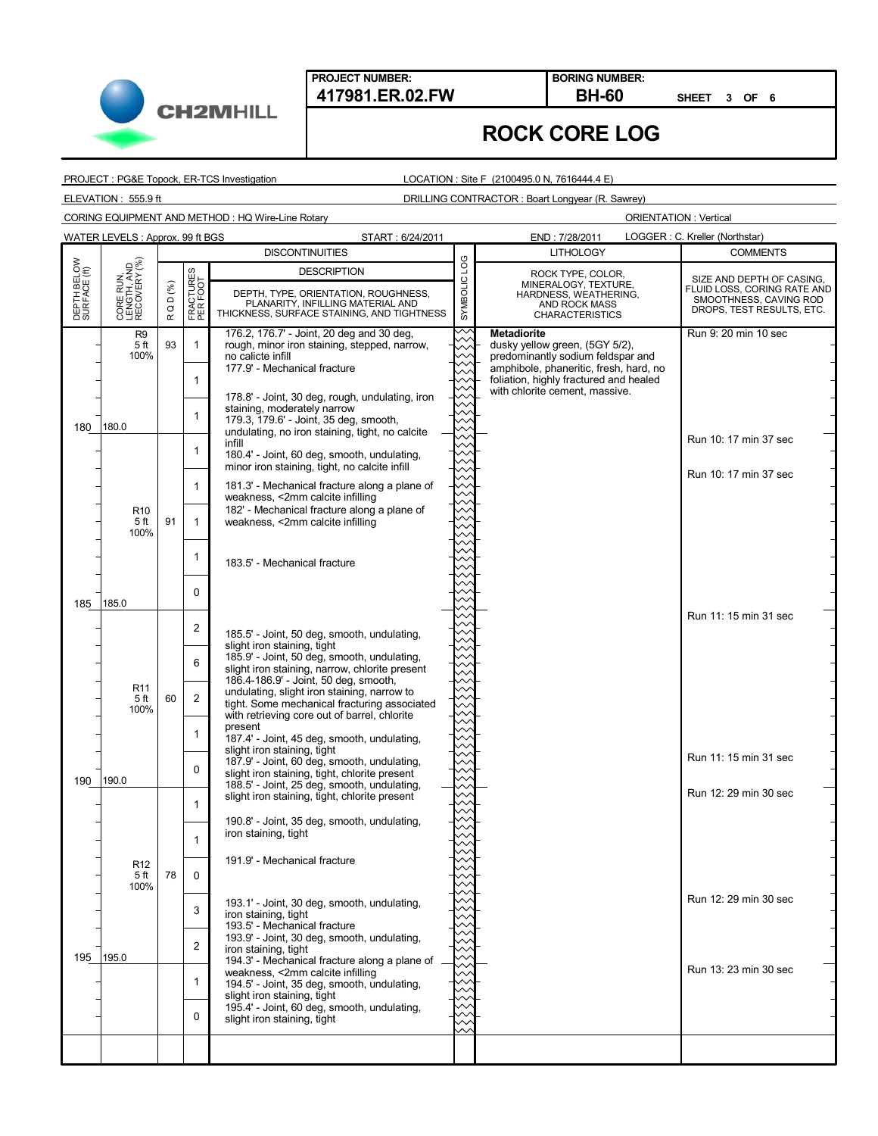

**SHEET 3 OF 6**

# **ROCK CORE LOG**

PROJECT : PG&E Topock, ER-TCS Investigation

LOCATION : Site F (2100495.0 N, 7616444.4 E)

ELEVATION : 555.9 ft DRILLING CONTRACTOR : Boart Longyear (R. Sawrey)

CORING EQUIPMENT AND METHOD : HQ Wire-Line Rotary

**CH2MHILL** 

|                             | WATER LEVELS: Approx. 99 ft BGS<br>LOGGER: C. Kreller (Northstar)<br>START: 6/24/2011<br>END: 7/28/2011 |                               |                               |                                                                                                                                                                                                                                                                                                                                                                                                                               |              |                                                                                                                                                                                                                 |                                                                                                                 |  |
|-----------------------------|---------------------------------------------------------------------------------------------------------|-------------------------------|-------------------------------|-------------------------------------------------------------------------------------------------------------------------------------------------------------------------------------------------------------------------------------------------------------------------------------------------------------------------------------------------------------------------------------------------------------------------------|--------------|-----------------------------------------------------------------------------------------------------------------------------------------------------------------------------------------------------------------|-----------------------------------------------------------------------------------------------------------------|--|
|                             |                                                                                                         |                               |                               | <b>DISCONTINUITIES</b>                                                                                                                                                                                                                                                                                                                                                                                                        |              | <b>LITHOLOGY</b>                                                                                                                                                                                                | <b>COMMENTS</b>                                                                                                 |  |
| DEPTH BELOW<br>SURFACE (ft) | CORE RUN,<br>LENGTH, AND<br>RECOVERY (%)                                                                | D (%)<br>$\circ$<br>$\propto$ | FRACTURES<br>PER FOOT         | <b>DESCRIPTION</b><br>DEPTH, TYPE, ORIENTATION, ROUGHNESS,<br>PLANARITY, INFILLING MATERIAL AND<br>THICKNESS, SURFACE STAINING, AND TIGHTNESS                                                                                                                                                                                                                                                                                 | SYMBOLIC LOG | ROCK TYPE, COLOR,<br>MINERALOGY, TEXTURE,<br>HARDNESS, WEATHERING,<br><b>AND ROCK MASS</b><br><b>CHARACTERISTICS</b>                                                                                            | SIZE AND DEPTH OF CASING,<br>FLUID LOSS, CORING RATE AND<br>SMOOTHNESS, CAVING ROD<br>DROPS, TEST RESULTS, ETC. |  |
|                             | R <sub>9</sub><br>5 ft<br>100%<br>180.0                                                                 | 93                            | $\mathbf{1}$<br>1<br>1        | 176.2, 176.7' - Joint, 20 deg and 30 deg,<br>rough, minor iron staining, stepped, narrow,<br>no calicte infill<br>177.9' - Mechanical fracture<br>178.8' - Joint, 30 deg, rough, undulating, iron<br>staining, moderately narrow<br>179.3, 179.6' - Joint, 35 deg, smooth,                                                                                                                                                    |              | <b>Metadiorite</b><br>dusky yellow green, (5GY 5/2),<br>predominantly sodium feldspar and<br>amphibole, phaneritic, fresh, hard, no<br>foliation, highly fractured and healed<br>with chlorite cement, massive. | Run 9: 20 min 10 sec                                                                                            |  |
| 180                         | R <sub>10</sub><br>5 ft<br>100%                                                                         | 91                            | 1<br>1<br>$\mathbf{1}$        | undulating, no iron staining, tight, no calcite<br>infill<br>180.4' - Joint, 60 deg, smooth, undulating,<br>minor iron staining, tight, no calcite infill<br>181.3' - Mechanical fracture along a plane of<br>weakness, <2mm calcite infilling<br>182' - Mechanical fracture along a plane of<br>weakness, <2mm calcite infilling                                                                                             |              |                                                                                                                                                                                                                 | Run 10: 17 min 37 sec<br>Run 10: 17 min 37 sec                                                                  |  |
| 185                         | 185.0                                                                                                   |                               | 1<br>0                        | 183.5' - Mechanical fracture                                                                                                                                                                                                                                                                                                                                                                                                  |              |                                                                                                                                                                                                                 |                                                                                                                 |  |
|                             | R <sub>11</sub><br>5 ft<br>100%                                                                         | 60                            | 2<br>6<br>$\overline{2}$<br>1 | 185.5' - Joint, 50 deg, smooth, undulating,<br>slight iron staining, tight<br>185.9' - Joint, 50 deg, smooth, undulating,<br>slight iron staining, narrow, chlorite present<br>186.4-186.9' - Joint, 50 deg, smooth,<br>undulating, slight iron staining, narrow to<br>tight. Some mechanical fracturing associated<br>with retrieving core out of barrel, chlorite<br>present<br>187.4' - Joint, 45 deg, smooth, undulating, |              |                                                                                                                                                                                                                 | Run 11: 15 min 31 sec                                                                                           |  |
| 190                         | 190.0                                                                                                   |                               | 0                             | slight iron staining, tight<br>187.9' - Joint, 60 deg, smooth, undulating,<br>slight iron staining, tight, chlorite present<br>188.5' - Joint, 25 deg, smooth, undulating,<br>slight iron staining, tight, chlorite present                                                                                                                                                                                                   |              |                                                                                                                                                                                                                 | Run 11: 15 min 31 sec<br>Run 12: 29 min 30 sec                                                                  |  |
|                             | R <sub>12</sub><br>5 ft<br>100%                                                                         | 78                            | 1<br>$\mathbf{1}$<br>0        | 190.8' - Joint, 35 deg, smooth, undulating,<br>iron staining, tight<br>191.9' - Mechanical fracture                                                                                                                                                                                                                                                                                                                           |              |                                                                                                                                                                                                                 |                                                                                                                 |  |
| 195                         | 195.0                                                                                                   |                               | 3<br>$\overline{2}$           | 193.1' - Joint, 30 deg, smooth, undulating,<br>iron staining, tight<br>193.5' - Mechanical fracture<br>193.9' - Joint, 30 deg, smooth, undulating,<br>iron staining, tight<br>194.3' - Mechanical fracture along a plane of                                                                                                                                                                                                   |              |                                                                                                                                                                                                                 | Run 12: 29 min 30 sec                                                                                           |  |
|                             |                                                                                                         |                               | 1<br>$\Omega$                 | weakness, <2mm calcite infilling<br>194.5' - Joint, 35 deg, smooth, undulating,<br>slight iron staining, tight<br>195.4' - Joint, 60 deg, smooth, undulating,<br>slight iron staining, tight                                                                                                                                                                                                                                  |              |                                                                                                                                                                                                                 | Run 13: 23 min 30 sec                                                                                           |  |
|                             |                                                                                                         |                               |                               |                                                                                                                                                                                                                                                                                                                                                                                                                               |              |                                                                                                                                                                                                                 |                                                                                                                 |  |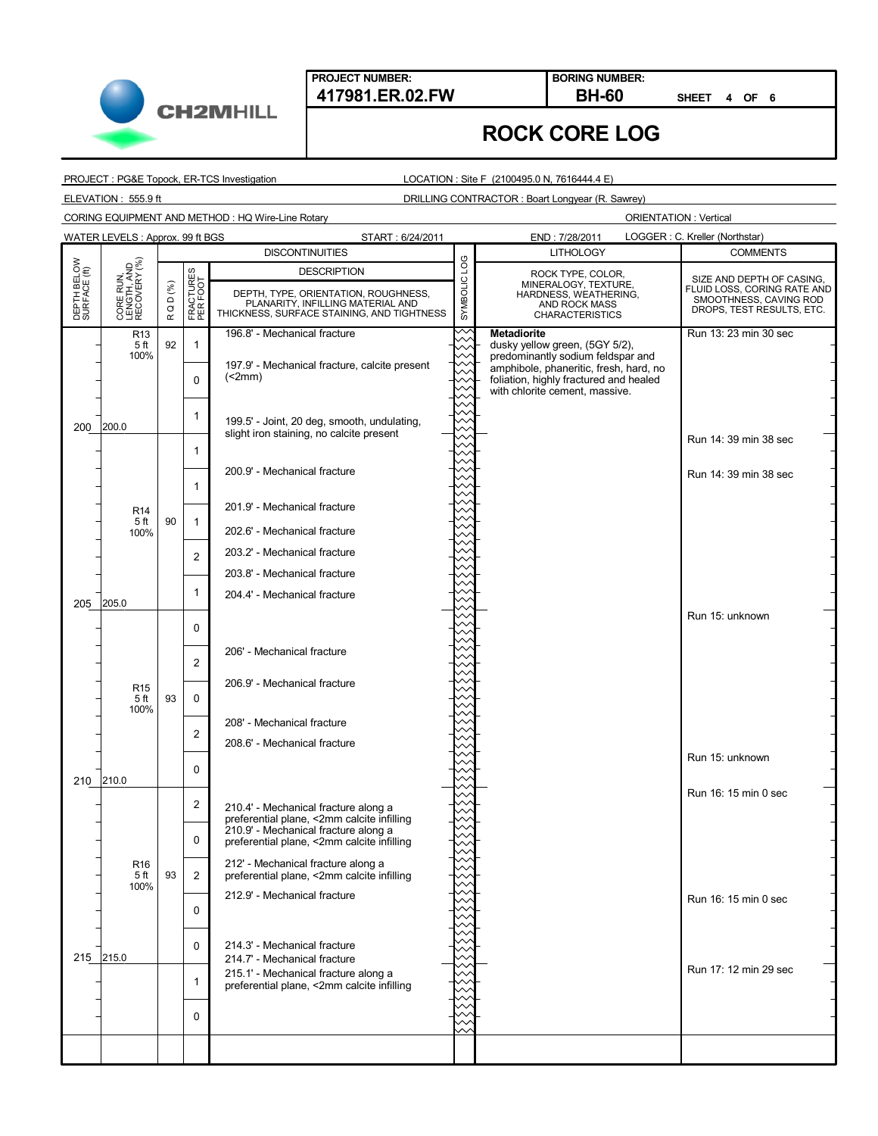

**SHEET 4 OF 6**

## **ROCK CORE LOG**

PROJECT : PG&E Topock, ER-TCS Investigation

LOCATION : Site F (2100495.0 N, 7616444.4 E)

ELEVATION : 555.9 ft DRILLING CONTRACTOR : Boart Longyear (R. Sawrey)

CORING EQUIPMENT AND METHOD : HQ Wire-Line Rotary

**CH2MHILL** 

|                             | WATER LEVELS: Approx. 99 ft BGS<br>LOGGER : C. Kreller (Northstar)<br>END: 7/28/2011<br>START: 6/24/2011 |              |                       |                                                                                                                         |              |                                                                                                                                                         |                                                                                    |
|-----------------------------|----------------------------------------------------------------------------------------------------------|--------------|-----------------------|-------------------------------------------------------------------------------------------------------------------------|--------------|---------------------------------------------------------------------------------------------------------------------------------------------------------|------------------------------------------------------------------------------------|
|                             |                                                                                                          |              |                       | <b>DISCONTINUITIES</b>                                                                                                  |              | <b>LITHOLOGY</b>                                                                                                                                        | <b>COMMENTS</b>                                                                    |
|                             |                                                                                                          |              |                       | <b>DESCRIPTION</b>                                                                                                      |              | ROCK TYPE, COLOR,                                                                                                                                       | SIZE AND DEPTH OF CASING,                                                          |
| DEPTH BELOW<br>SURFACE (ft) | CORE RUN,<br>LENGTH, AND<br>RECOVERY (%)                                                                 | D (%)<br>R Q | FRACTURES<br>PER FOOT | DEPTH, TYPE, ORIENTATION, ROUGHNESS,<br>PLANARITY, INFILLING MATERIAL AND<br>THICKNESS, SURFACE STAINING, AND TIGHTNESS | SYMBOLIC LOG | MINERALOGY, TEXTURE,<br>HARDNESS, WEATHERING,<br>AND ROCK MASS<br><b>CHARACTERISTICS</b>                                                                | FLUID LOSS, CORING RATE AND<br>SMOOTHNESS, CAVING ROD<br>DROPS, TEST RESULTS, ETC. |
|                             | R <sub>13</sub><br>5 ft                                                                                  | 92           | $\mathbf{1}$          | 196.8' - Mechanical fracture                                                                                            |              | <b>Metadiorite</b><br>dusky yellow green, (5GY 5/2),                                                                                                    | Run 13: 23 min 30 sec                                                              |
|                             | 100%                                                                                                     |              | $\Omega$              | 197.9' - Mechanical fracture, calcite present<br>(2mm)                                                                  |              | predominantly sodium feldspar and<br>amphibole, phaneritic, fresh, hard, no<br>foliation, highly fractured and healed<br>with chlorite cement, massive. |                                                                                    |
| 200                         | 200.0                                                                                                    |              | 1                     | 199.5' - Joint, 20 deg, smooth, undulating,                                                                             |              |                                                                                                                                                         |                                                                                    |
|                             |                                                                                                          |              |                       | slight iron staining, no calcite present                                                                                |              |                                                                                                                                                         | Run 14: 39 min 38 sec                                                              |
|                             |                                                                                                          |              | 1<br>1                | 200.9' - Mechanical fracture                                                                                            |              |                                                                                                                                                         | Run 14: 39 min 38 sec                                                              |
|                             | R <sub>14</sub><br>5 ft                                                                                  | 90           | $\overline{1}$        | 201.9' - Mechanical fracture                                                                                            |              |                                                                                                                                                         |                                                                                    |
|                             | 100%                                                                                                     |              |                       | 202.6' - Mechanical fracture                                                                                            |              |                                                                                                                                                         |                                                                                    |
|                             |                                                                                                          |              | $\overline{2}$        | 203.2' - Mechanical fracture                                                                                            |              |                                                                                                                                                         |                                                                                    |
|                             |                                                                                                          |              |                       | 203.8' - Mechanical fracture                                                                                            |              |                                                                                                                                                         |                                                                                    |
| 205                         | 205.0                                                                                                    |              | 1                     | 204.4' - Mechanical fracture                                                                                            |              |                                                                                                                                                         |                                                                                    |
|                             |                                                                                                          |              | 0                     |                                                                                                                         |              |                                                                                                                                                         | Run 15: unknown                                                                    |
|                             |                                                                                                          |              |                       | 206' - Mechanical fracture                                                                                              |              |                                                                                                                                                         |                                                                                    |
|                             |                                                                                                          |              | $\overline{2}$        |                                                                                                                         |              |                                                                                                                                                         |                                                                                    |
|                             | R <sub>15</sub><br>5 ft                                                                                  | 93           | $\mathbf 0$           | 206.9' - Mechanical fracture                                                                                            |              |                                                                                                                                                         |                                                                                    |
|                             | 100%                                                                                                     |              |                       |                                                                                                                         |              |                                                                                                                                                         |                                                                                    |
|                             |                                                                                                          |              | $\overline{c}$        | 208' - Mechanical fracture                                                                                              |              |                                                                                                                                                         |                                                                                    |
|                             |                                                                                                          |              |                       | 208.6' - Mechanical fracture                                                                                            |              |                                                                                                                                                         | Run 15: unknown                                                                    |
| 210                         | 210.0                                                                                                    |              | 0                     |                                                                                                                         |              |                                                                                                                                                         |                                                                                    |
|                             |                                                                                                          |              | $\overline{c}$        | 210.4' - Mechanical fracture along a                                                                                    |              |                                                                                                                                                         | Run 16: 15 min 0 sec                                                               |
|                             |                                                                                                          |              |                       | preferential plane, <2mm calcite infilling<br>210.9' - Mechanical fracture along a                                      |              |                                                                                                                                                         |                                                                                    |
|                             |                                                                                                          |              | $\Omega$              | preferential plane, <2mm calcite infilling                                                                              |              |                                                                                                                                                         |                                                                                    |
|                             | R <sub>16</sub><br>5 ft<br>100%                                                                          | 93           | 2                     | 212' - Mechanical fracture along a<br>preferential plane, <2mm calcite infilling                                        |              |                                                                                                                                                         |                                                                                    |
|                             |                                                                                                          |              | $\Omega$              | 212.9' - Mechanical fracture                                                                                            |              |                                                                                                                                                         | Run 16: 15 min 0 sec                                                               |
|                             |                                                                                                          |              | $\Omega$              | 214.3' - Mechanical fracture                                                                                            |              |                                                                                                                                                         |                                                                                    |
|                             | 215 215.0                                                                                                |              |                       | 214.7' - Mechanical fracture                                                                                            |              |                                                                                                                                                         |                                                                                    |
|                             |                                                                                                          |              | 1                     | 215.1' - Mechanical fracture along a<br>preferential plane, <2mm calcite infilling                                      |              |                                                                                                                                                         | Run 17: 12 min 29 sec                                                              |
|                             |                                                                                                          |              |                       |                                                                                                                         |              |                                                                                                                                                         |                                                                                    |
|                             |                                                                                                          |              | $\Omega$              |                                                                                                                         |              |                                                                                                                                                         |                                                                                    |
|                             |                                                                                                          |              |                       |                                                                                                                         |              |                                                                                                                                                         |                                                                                    |
|                             |                                                                                                          |              |                       |                                                                                                                         |              |                                                                                                                                                         |                                                                                    |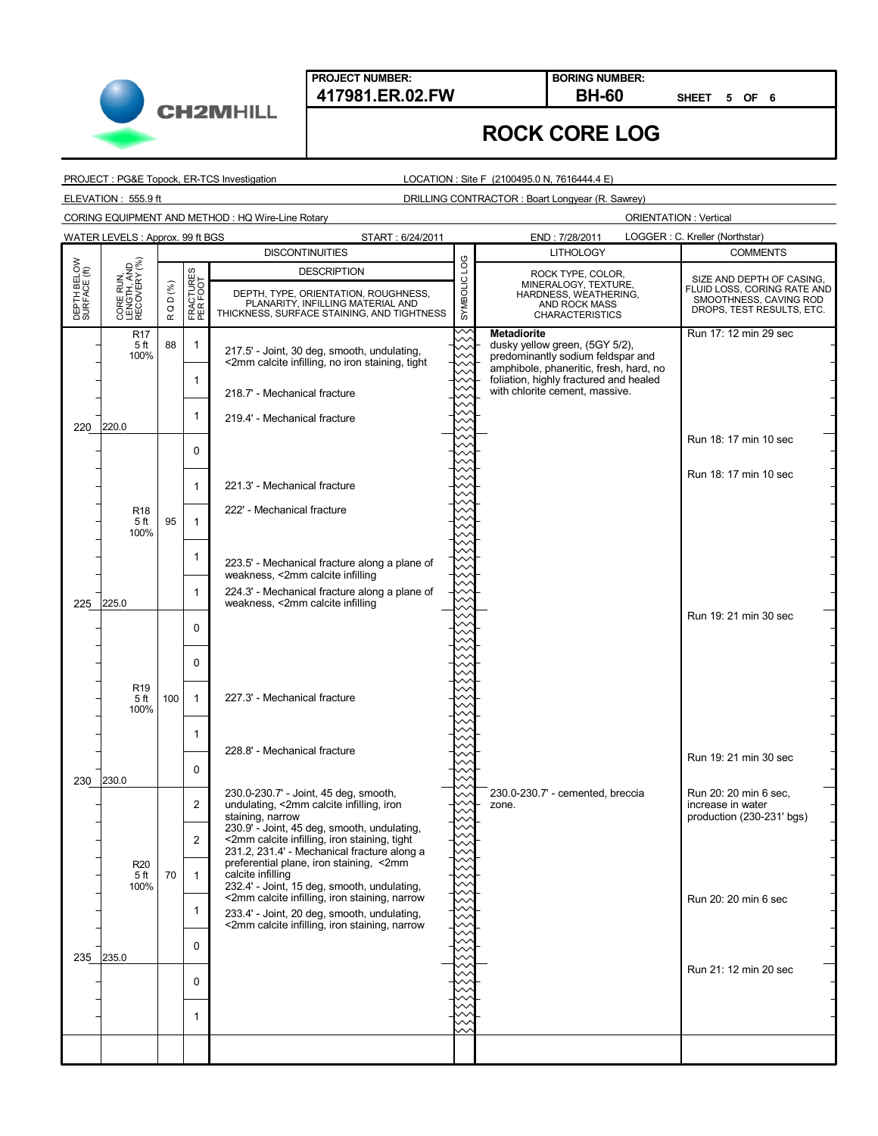

**SHEET 5 OF 6**

## **ROCK CORE LOG**

PROJECT : PG&E Topock, ER-TCS Investigation

LOCATION : Site F (2100495.0 N, 7616444.4 E)

ELEVATION : 555.9 ft DRILLING CONTRACTOR : Boart Longyear (R. Sawrey)

CORING EQUIPMENT AND METHOD : HQ Wire-Line Rotary

|                             | LOGGER: C. Kreller (Northstar)<br>WATER LEVELS: Approx. 99 ft BGS<br>START: 6/24/2011<br>END: 7/28/2011 |                              |                       |                                                                                                                                               |              |                                                                                                                                     |                                                                                    |  |
|-----------------------------|---------------------------------------------------------------------------------------------------------|------------------------------|-----------------------|-----------------------------------------------------------------------------------------------------------------------------------------------|--------------|-------------------------------------------------------------------------------------------------------------------------------------|------------------------------------------------------------------------------------|--|
|                             |                                                                                                         |                              |                       | <b>DISCONTINUITIES</b>                                                                                                                        |              | <b>LITHOLOGY</b>                                                                                                                    | <b>COMMENTS</b>                                                                    |  |
|                             |                                                                                                         |                              |                       | <b>DESCRIPTION</b>                                                                                                                            |              | ROCK TYPE, COLOR,<br>MINERALOGY, TEXTURE,                                                                                           | SIZE AND DEPTH OF CASING,                                                          |  |
| DEPTH BELOW<br>SURFACE (ft) | CORE RUN,<br>LENGTH, AND<br>RECOVERY (%)                                                                | D(%)<br>$\circ$<br>$\propto$ | FRACTURES<br>PER FOOT | DEPTH, TYPE, ORIENTATION, ROUGHNESS,<br>PLANARITY, INFILLING MATERIAL AND<br>THICKNESS, SURFACE STAINING, AND TIGHTNESS                       | SYMBOLIC LOG | HARDNESS, WEATHERING,<br>AND ROCK MASS<br><b>CHARACTERISTICS</b>                                                                    | FLUID LOSS, CORING RATE AND<br>SMOOTHNESS, CAVING ROD<br>DROPS, TEST RESULTS, ETC. |  |
|                             | R <sub>17</sub><br>5 ft<br>100%                                                                         | 88                           | $\mathbf{1}$          | 217.5' - Joint, 30 deg, smooth, undulating,<br><2mm calcite infilling, no iron staining, tight                                                |              | <b>Metadiorite</b><br>dusky yellow green, (5GY 5/2),<br>predominantly sodium feldspar and<br>amphibole, phaneritic, fresh, hard, no | Run 17: 12 min 29 sec                                                              |  |
|                             |                                                                                                         |                              | $\mathbf{1}$          | 218.7' - Mechanical fracture                                                                                                                  |              | foliation, highly fractured and healed<br>with chlorite cement, massive.                                                            |                                                                                    |  |
| 220                         | 220.0                                                                                                   |                              | $\mathbf{1}$          | 219.4' - Mechanical fracture                                                                                                                  |              |                                                                                                                                     |                                                                                    |  |
|                             |                                                                                                         |                              | 0                     |                                                                                                                                               |              |                                                                                                                                     | Run 18: 17 min 10 sec                                                              |  |
|                             |                                                                                                         |                              | $\mathbf{1}$          | 221.3' - Mechanical fracture                                                                                                                  |              |                                                                                                                                     | Run 18: 17 min 10 sec                                                              |  |
|                             | R <sub>18</sub><br>5 ft<br>100%                                                                         | 95                           | $\mathbf{1}$          | 222' - Mechanical fracture                                                                                                                    |              |                                                                                                                                     |                                                                                    |  |
|                             |                                                                                                         |                              | $\mathbf{1}$          | 223.5' - Mechanical fracture along a plane of<br>weakness, <2mm calcite infilling                                                             |              |                                                                                                                                     |                                                                                    |  |
|                             | 225 225.0                                                                                               |                              | $\mathbf{1}$          | 224.3' - Mechanical fracture along a plane of<br>weakness, <2mm calcite infilling                                                             |              |                                                                                                                                     |                                                                                    |  |
|                             |                                                                                                         |                              | $\mathbf 0$           |                                                                                                                                               |              |                                                                                                                                     | Run 19: 21 min 30 sec                                                              |  |
|                             |                                                                                                         |                              | $\mathbf 0$           |                                                                                                                                               |              |                                                                                                                                     |                                                                                    |  |
|                             | R <sub>19</sub><br>5 ft<br>100%                                                                         | 100                          | $\mathbf{1}$          | 227.3' - Mechanical fracture                                                                                                                  |              |                                                                                                                                     |                                                                                    |  |
|                             |                                                                                                         |                              | 1                     | 228.8' - Mechanical fracture                                                                                                                  |              |                                                                                                                                     |                                                                                    |  |
| 230                         | 230.0                                                                                                   |                              | 0                     |                                                                                                                                               |              |                                                                                                                                     | Run 19: 21 min 30 sec                                                              |  |
|                             |                                                                                                         |                              | $\overline{2}$        | 230.0-230.7' - Joint, 45 deg, smooth,<br>undulating, <2mm calcite infilling, iron<br>staining, narrow                                         |              | 230.0-230.7' - cemented, breccia<br>zone.                                                                                           | Run 20: 20 min 6 sec,<br>increase in water<br>production (230-231' bgs)            |  |
|                             |                                                                                                         |                              | 2                     | 230.9' - Joint, 45 deg, smooth, undulating,<br><2mm calcite infilling, iron staining, tight<br>231.2, 231.4' - Mechanical fracture along a    |              |                                                                                                                                     |                                                                                    |  |
|                             | R <sub>20</sub><br>5 ft<br>100%                                                                         | 70                           | $\mathbf{1}$          | preferential plane, iron staining, <2mm<br>calcite infilling<br>232.4' - Joint, 15 deg, smooth, undulating,                                   |              |                                                                                                                                     |                                                                                    |  |
|                             |                                                                                                         |                              | $\mathbf{1}$          | <2mm calcite infilling, iron staining, narrow<br>233.4' - Joint, 20 deg, smooth, undulating,<br><2mm calcite infilling, iron staining, narrow |              |                                                                                                                                     | Run 20: 20 min 6 sec                                                               |  |
|                             | 235 235.0                                                                                               |                              | 0                     |                                                                                                                                               |              |                                                                                                                                     |                                                                                    |  |
|                             |                                                                                                         |                              | $\mathbf 0$           |                                                                                                                                               |              |                                                                                                                                     | Run 21: 12 min 20 sec                                                              |  |
|                             |                                                                                                         |                              | $\mathbf{1}$          |                                                                                                                                               |              |                                                                                                                                     |                                                                                    |  |
|                             |                                                                                                         |                              |                       |                                                                                                                                               |              |                                                                                                                                     |                                                                                    |  |
|                             |                                                                                                         |                              |                       |                                                                                                                                               |              |                                                                                                                                     |                                                                                    |  |